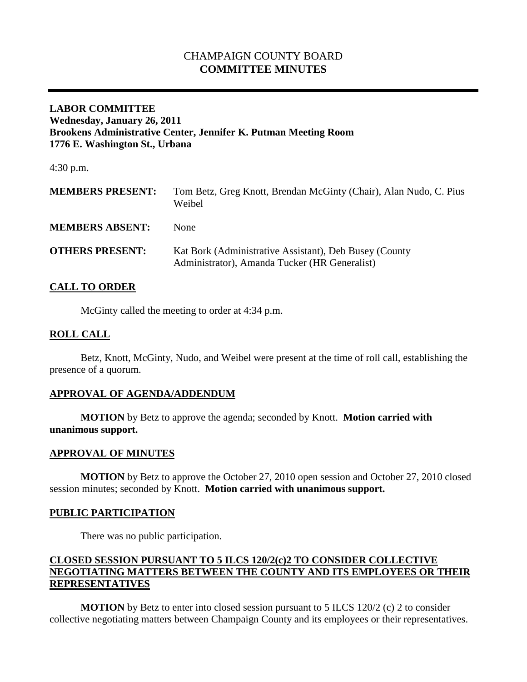# CHAMPAIGN COUNTY BOARD **COMMITTEE MINUTES**

### **LABOR COMMITTEE Wednesday, January 26, 2011 Brookens Administrative Center, Jennifer K. Putman Meeting Room 1776 E. Washington St., Urbana**

4:30 p.m.

| <b>MEMBERS PRESENT:</b> | Tom Betz, Greg Knott, Brendan McGinty (Chair), Alan Nudo, C. Pius<br>Weibel                             |
|-------------------------|---------------------------------------------------------------------------------------------------------|
| <b>MEMBERS ABSENT:</b>  | None                                                                                                    |
| <b>OTHERS PRESENT:</b>  | Kat Bork (Administrative Assistant), Deb Busey (County<br>Administrator), Amanda Tucker (HR Generalist) |

### **CALL TO ORDER**

McGinty called the meeting to order at 4:34 p.m.

### **ROLL CALL**

Betz, Knott, McGinty, Nudo, and Weibel were present at the time of roll call, establishing the presence of a quorum.

### **APPROVAL OF AGENDA/ADDENDUM**

**MOTION** by Betz to approve the agenda; seconded by Knott. **Motion carried with unanimous support.**

#### **APPROVAL OF MINUTES**

**MOTION** by Betz to approve the October 27, 2010 open session and October 27, 2010 closed session minutes; seconded by Knott. **Motion carried with unanimous support.**

#### **PUBLIC PARTICIPATION**

There was no public participation.

## **CLOSED SESSION PURSUANT TO 5 ILCS 120/2(c)2 TO CONSIDER COLLECTIVE NEGOTIATING MATTERS BETWEEN THE COUNTY AND ITS EMPLOYEES OR THEIR REPRESENTATIVES**

**MOTION** by Betz to enter into closed session pursuant to 5 ILCS 120/2 (c) 2 to consider collective negotiating matters between Champaign County and its employees or their representatives.